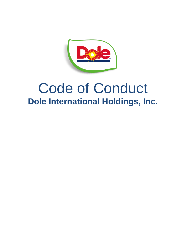

# Code of Conduct **Dole International Holdings, Inc.**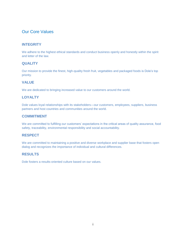# Our Core Values

#### **INTEGRITY**

We adhere to the highest ethical standards and conduct business openly and honestly within the spirit and letter of the law.

#### **QUALITY**

Our mission to provide the finest, high-quality fresh fruit, vegetables and packaged foods is Dole's top priority.

#### **VALUE**

We are dedicated to bringing increased value to our customers around the world.

#### **LOYALTY**

Dole values loyal relationships with its stakeholders—our customers, employees, suppliers, business partners and host countries and communities around the world.

#### **COMMITMENT**

We are committed to fulfilling our customers' expectations in the critical areas of quality assurance, food safety, traceability, environmental responsibility and social accountability.

#### **RESPECT**

We are committed to maintaining a positive and diverse workplace and supplier base that fosters open dialog and recognizes the importance of individual and cultural differences.

#### **RESULTS**

Dole fosters a results-oriented culture based on our values.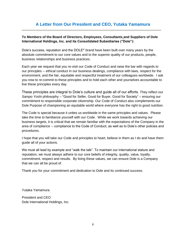# **A Letter from Our President and CEO, Yutaka Yamamura**

#### **To Members of the Board of Directors, Employees, Consultants and Suppliers of Dole International Holdings, Inc. and its Consolidated Subsidiaries ("Dole"):**

Dole's success, reputation and the DOLE® brand have been built over many years by the absolute commitment to our core values and to the superior quality of our products, people, business relationships and business practices.

Each year we request that you re-visit our Code of Conduct and raise the bar with regards to our principles -- ethical conduct in our business dealings, compliance with laws, respect for the environment, and the fair, equitable and respectful treatment of our colleagues worldwide. I ask you now to re-commit to these principles and to hold each other and yourselves accountable to live these principles every day.

These principles are integral to Dole's culture and guide all of our efforts. They reflect our *Sampo Yoshi* philosophy – "Good for Seller, Good for Buyer, Good for Society" – ensuring our commitment to responsible corporate citizenship. Our Code of Conduct also complements our Dole Purpose of championing an equitable world where everyone has the right to good nutrition.

The Code is special because it unites us worldwide in the same principles and values. Please take the time to familiarize yourself with our Code. While we work towards achieving our business targets, it is critical that we remain familiar with the expectations of the Company in the area of compliance -- compliance to the Code of Conduct, as well as to Dole's other policies and procedures.

I hope that you will take our Code and principles to heart, believe in them as I do and have them guide all of your actions.

We must all lead by example and "walk the talk". To maintain our international stature and reputation, we must always adhere to our core beliefs of integrity, quality, value, loyalty, commitment, respect and results. By living these values, we can ensure Dole is a Company that we can all be proud of.

Thank you for your commitment and dedication to Dole and its continued success.

Yutaka Yamamura

President and CEO Dole International Holdings, Inc.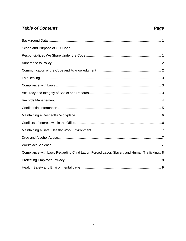# **Table of Contents**

# Page

| Compliance with Laws Regarding Child Labor, Forced Labor, Slavery and Human Trafficking 8 |
|-------------------------------------------------------------------------------------------|
|                                                                                           |
|                                                                                           |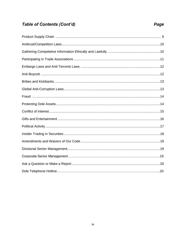# **Table of Contents (Cont'd)**

# 

#### Page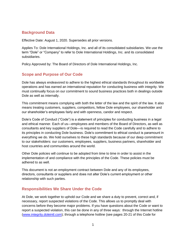#### **Background Data**

Effective Date: August 1, 2020. Supersedes all prior versions.

Applies To: Dole International Holdings, Inc. and all of its consolidated subsidiaries. We use the term "Dole" or "Company" to refer to Dole International Holdings, Inc. and its consolidated subsidiaries.

Policy Approved by: The Board of Directors of Dole International Holdings, Inc.

#### **Scope and Purpose of Our Code**

Dole has always endeavored to adhere to the highest ethical standards throughout its worldwide operations and has earned an international reputation for conducting business with integrity. We must continually focus on our commitment to sound business practices both in dealings outside Dole as well as internally.

This commitment means complying with both the letter of the law and the spirit of the law. It also means treating customers, suppliers, competitors, fellow Dole employees, our shareholder and our shareholder's employees fairly and with openness, candor and respect.

Dole's Code of Conduct ("Code") is a statement of principles for conducting business in a legal and ethical manner. Each of us—employees and members of the Board of Directors, as well as consultants and key suppliers of Dole—is required to read the Code carefully and to adhere to its principles in conducting Dole business. Dole's commitment to ethical conduct is paramount in everything we do. We hold ourselves to these high standards because of our deep commitment to our stakeholders: our customers, employees, suppliers, business partners, shareholder and host countries and communities around the world.

Other Dole policies will continue to be adopted from time to time in order to assist in the implementation of and compliance with the principles of the Code. These policies must be adhered to as well.

This document is not an employment contract between Dole and any of its employees, directors, consultants or suppliers and does not alter Dole's current employment or other relationship with such parties.

#### **Responsibilities We Share Under the Code**

At Dole, we work together to uphold our Code and we share a duty to prevent, correct and, if necessary, report suspected violations of the Code. This allows us to promptly deal with concerns before they become major problems. If you have questions about the Code or want to report a suspected violation, this can be done in any of three ways: through the Internet hotline [\(www.integrity.doleintl.com\)](http://www.integrity.doleintl.com/); through a telephone hotline (see pages 20-21 of this Code for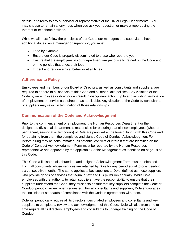details) or directly to any supervisor or representative of the HR or Legal Departments. You may choose to remain anonymous when you ask your question or make a report using the Internet or telephone hotlines.

While we all must follow the principles of our Code, our managers and supervisors have additional duties. As a manager or supervisor, you must:

- Lead by example
- Ensure our Code is properly disseminated to those who report to you
- Ensure that the employees in your department are periodically trained on the Code and on the policies that affect their jobs
- Expect and require ethical behavior at all times

#### **Adherence to Policy**

Employees and members of our Board of Directors, as well as consultants and suppliers, are required to adhere to all aspects of this Code and all other Dole policies. Any violation of the Code by an employee or director can result in disciplinary action, up to and including termination of employment or service as a director, as applicable. Any violation of the Code by consultants or suppliers may result in termination of those relationships.

#### **Communication of the Code and Acknowledgment**

Prior to the commencement of employment, the Human Resources Department or the designated divisional department is responsible for ensuring that all new employees (whether permanent, seasonal or temporary) of Dole are provided at the time of hiring with this Code and for obtaining from them the completed and signed Code of Conduct Acknowledgment Form. Before hiring may be consummated, all potential conflicts of interest that are identified on the Code of Conduct Acknowledgment Form must be reported by the Human Resources representative and approved by the applicable Senior Management as identified on page 19 of this Code.

This Code will also be distributed to, and a signed Acknowledgment Form must be obtained from, all consultants whose services are retained by Dole for any period equal to or exceeding six consecutive months. The same applies to key suppliers to Dole, defined as those suppliers who provide goods or services that equal or exceed US \$2 million annually. While Dole employees with the authority to retain suppliers have the responsibility to ensure that their suppliers understand the Code, they must also ensure that key suppliers complete the Code of Conduct periodic review when requested. For all consultants and suppliers, Dole encourages the inclusion of standards of compliance with the Code in agreements with them.

Dole will periodically require all its directors, designated employees and consultants and key suppliers to complete a review and acknowledgment of this Code. Dole will also from time to time require all its directors, employees and consultants to undergo training on the Code of Conduct.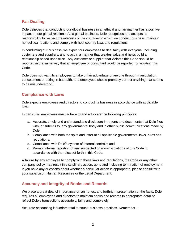#### **Fair Dealing**

Dole believes that conducting our global business in an ethical and fair manner has a positive impact on our global relations. As a global business, Dole recognizes and accepts its responsibility to respect the interests of the countries in which we conduct business, maintain nonpolitical relations and comply with host country laws and regulations.

In conducting our business, we expect our employees to deal fairly with everyone, including customers and suppliers, and to act in a manner that creates value and helps build a relationship based upon trust. Any customer or supplier that violates this Code should be reported in the same way that an employee or consultant would be reported for violating this Code.

Dole does not want its employees to take unfair advantage of anyone through manipulation, concealment or acting in bad faith, and employees should promptly correct anything that seems to be misunderstood.

#### **Compliance with Laws**

Dole expects employees and directors to conduct its business in accordance with applicable laws.

In particular, employees must adhere to and advocate the following principles:

- a. Accurate, timely and understandable disclosure in reports and documents that Dole files with, or submits to, any governmental body and in other public communications made by Dole;
- b. Compliance with both the spirit and letter of all applicable governmental laws, rules and regulations:
- c. Compliance with Dole's system of internal controls; and
- d. Prompt internal reporting of any suspected or known violations of this Code in accordance with the rules set forth in this Code.

A failure by any employee to comply with these laws and regulations, the Code or any other company policy may result in disciplinary action, up to and including termination of employment. If you have any questions about whether a particular action is appropriate, please consult with your supervisor, Human Resources or the Legal Department.

#### **Accuracy and Integrity of Books and Records**

We place a great deal of importance on an honest and forthright presentation of the facts. Dole requires all employees and directors to maintain books and records in appropriate detail to reflect Dole's transactions accurately, fairly and completely.

Accurate accounting is fundamental to sound business practices. Remember –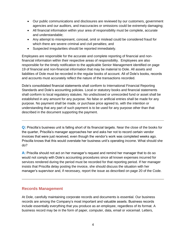- Our public communications and disclosures are reviewed by our customers, government agencies and our auditors, and inaccuracies or omissions could be extremely damaging;
- All financial information within your area of responsibility must be complete, accurate and understandable;
- Any attempt to misrepresent, conceal, omit or mislead could be considered fraud for which there are severe criminal and civil penalties; and
- Suspected irregularities should be reported immediately.

Employees are responsible for the accurate and complete reporting of financial and nonfinancial information within their respective areas of responsibility. Employees are also responsible for the timely notification to the applicable Senior Management identified on page 19 of financial and non-financial information that may be material to Dole. All assets and liabilities of Dole must be recorded in the regular books of account. All of Dole's books, records and accounts must accurately reflect the nature of the transactions recorded.

Dole's consolidated financial statements shall conform to International Financial Reporting Standards and Dole's accounting policies. Local or statutory books and financial statements shall conform to local regulatory statutes. No undisclosed or unrecorded fund or asset shall be established in any amount for any purpose. No false or artificial entries shall be made for any purpose. No payment shall be made, or purchase price agreed to, with the intention or understanding that any part of such payment is to be used for any purpose other than that described in the document supporting the payment.

**Q:** Priscilla's business unit is falling short of its financial targets. Near the close of the books for the quarter, Priscilla's manager approaches her and asks her not to record certain vendor invoices that were just received, even though the vendor's work was completed weeks ago. Priscilla knows that this would overstate her business unit's operating income. What should she do?

**A:** Priscilla should not act on her manager's request and remind her manager that to do so would not comply with Dole's accounting procedures since all known expenses incurred for services rendered during the period must be recorded for that reporting period. If her manager insists that Priscilla delay posting the invoice, she should discuss the situation with her manager's supervisor and, if necessary, report the issue as described on page 20 of the Code.

#### **Records Management**

At Dole, carefully maintaining corporate records and documents is essential. Our business records are among the Company's most important and valuable assets. Business records include essentially everything that you produce as an employee, regardless of its format. A business record may be in the form of paper, computer, data, email or voicemail. Letters,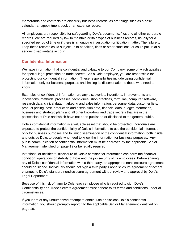memoranda and contracts are obviously business records, as are things such as a desk calendar, an appointment book or an expense record.

All employees are responsible for safeguarding Dole's documents, files and all other corporate records. We are required by law to maintain certain types of business records, usually for a specified period of time or if there is an ongoing investigation or litigation matter. The failure to keep these records could subject us to penalties, fines or other sanctions, or could put us at a serious disadvantage in court.

# **Confidential Information**

We have information that is confidential and valuable to our Company, some of which qualifies for special legal protection as trade secrets. As a Dole employee, you are responsible for protecting our confidential information. These responsibilities include using confidential information only for business purposes and limiting its dissemination to those who need to know.

Examples of confidential information are any discoveries, inventions, improvements and innovations, methods, processes, techniques, shop practices, formulae, computer software, research data, clinical data, marketing and sales information, personnel data, customer lists, product pricing, cost, production and distribution data, financial data, budget information, business and strategic plans and all other know-how and trade secrets that are in the possession of Dole and which have not been published or disclosed to the general public.

Dole's confidential information is a valuable asset that should be protected. Individuals are expected to protect the confidentiality of Dole's information, to use the confidential information only for business purposes and to limit dissemination of the confidential information, both inside and outside Dole, to people who need to know the information for business purposes. Any public communication of confidential information must be approved by the applicable Senior Management identified on page 19 or be legally required.

Intentional or accidental disclosure of Dole's confidential information can harm the financial condition, operations or stability of Dole and the job security of its employees. Before sharing any of Dole's confidential information with a third party, an appropriate nondisclosure agreement should be signed. Individuals should not sign a third party's nondisclosure agreement or accept changes to Dole's standard nondisclosure agreement without review and approval by Dole's Legal Department.

Because of this risk of harm to Dole, each employee who is required to sign Dole's Confidentiality and Trade Secrets Agreement must adhere to its terms and conditions under all circumstances.

If you learn of any unauthorized attempt to obtain, use or disclose Dole's confidential information, you should promptly report it to the applicable Senior Management identified on page 19.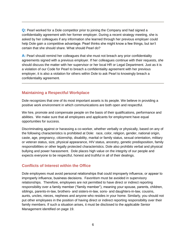**Q:** Pearl worked for a Dole competitor prior to joining the Company and had signed a confidentiality agreement with her former employer. During a recent strategy meeting, she is asked by her colleagues if any information she learned through her previous employer could help Dole gain a competitive advantage. Pearl thinks she might know a few things, but isn't certain that she should share. What should Pearl do?

**A:** Pearl should remind her colleagues that she must not breach any prior confidentiality agreements signed with a previous employer. If her colleagues continue with their requests, she should discuss the matter with her supervisor or her local HR or Legal Department. Just as it is a violation of our Code for Pearl to breach a confidentiality agreement with her previous employer, it is also a violation for others within Dole to ask Pearl to knowingly breach a confidentiality agreement.

#### **Maintaining a Respectful Workplace**

Dole recognizes that one of its most important assets is its people. We believe in providing a positive work environment in which communications are both open and respectful.

We hire, promote and compensate people on the basis of their qualifications, performance and abilities. We make sure that all employees and applicants for employment have equal opportunities for success.

Discriminating against or harassing a co-worker, whether verbally or physically, based on any of the following characteristics is prohibited at Dole: race, color, religion, gender, national origin, caste, age, pregnancy, citizenship, disability, marital or family status, sexual orientation, military or veteran status, size, physical appearance, HIV status, ancestry, genetic predisposition, family responsibilities or other legally protected characteristics. Dole also prohibits verbal and physical bullying and power harassment. Dole places high value on the integrity of our people and expects everyone to be respectful, honest and truthful in all of their dealings.

#### **Conflicts of Interest within the Office**

Dole employees must avoid personal relationships that could improperly influence, or appear to improperly influence, business decisions. Favoritism must be avoided in supervisory relationships. Therefore, employees are not permitted to have direct or indirect reporting responsibility over a family member ("family member"), meaning your spouse, parents, children, siblings, parents-in-law, brothers- and sisters-in-law, sons- and daughters-in-law, cousins, aunts, uncles, nieces, nephews and anyone who resides in your home. Similarly, you should not put other employees in the position of having direct or indirect reporting responsibility over their family members. If such a situation arises, it must be disclosed to the applicable Senior Management identified on page 19.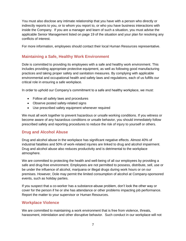You must also disclose any intimate relationship that you have with a person who directly or indirectly reports to you, or to whom you report to, or who you have business interactions with inside the Company. If you are a manager and learn of such a situation, you must advise the applicable Senior Management listed on page 19 of the situation and your plan for resolving any conflicts of interest.

For more information, employees should contact their local Human Resources representative.

#### **Maintaining a Safe, Healthy Work Environment**

Dole is committed to providing its employees with a safe and healthy work environment. This includes providing appropriate protective equipment, as well as following good manufacturing practices and taking proper safety and sanitation measures. By complying with applicable environmental and occupational health and safety laws and regulations, each of us fulfills our critical role in ensuring a safe workplace.

In order to uphold our Company's commitment to a safe and healthy workplace, we must:

- Follow all safety laws and procedures
- Observe posted safety-related signs
- Use prescribed safety equipment whenever required

We must all work together to prevent hazardous or unsafe working conditions. If you witness or become aware of any hazardous conditions or unsafe behavior, you should immediately follow prescribed safety and reporting procedures to reduce the risk of injury to yourself or others.

#### **Drug and Alcohol Abuse**

Drug and alcohol abuse in the workplace has significant negative effects. Almost 40% of industrial fatalities and 50% of work-related injuries are linked to drug and alcohol impairment. Drug and alcohol abuse also reduces productivity and is detrimental to the workplace atmosphere.

We are committed to protecting the health and well-being of all our employees by providing a safe and drug-free environment. Employees are not permitted to possess, distribute, sell, use or be under the influence of alcohol, marijuana or illegal drugs during work hours or on our premises. However, Dole may permit the limited consumption of alcohol at Company-sponsored events, such as holiday parties.

If you suspect that a co-worker has a substance-abuse problem, don't look the other way or cover for the person if he or she has attendance or other problems impacting job performance. Report the matter to your supervisor or Human Resources.

#### **Workplace Violence**

We are committed to maintaining a work environment that is free from violence, threats, harassment, intimidation and other disruptive behavior. Such conduct in our workplace will not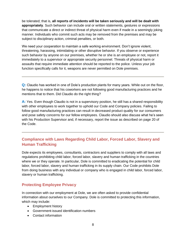be tolerated; that is, **all reports of incidents will be taken seriously and will be dealt with appropriately**. Such behavior can include oral or written statements, gestures or expressions that communicate a direct or indirect threat of physical harm even if made in a seemingly joking manner. Individuals who commit such acts may be removed from the premises and may be subject to disciplinary action, criminal penalties, or both.

We need your cooperation to maintain a safe working environment. Don't ignore violent, threatening, harassing, intimidating or other disruptive behavior. If you observe or experience such behavior by anyone on our premises, whether he or she is an employee or not, report it immediately to a supervisor or appropriate security personnel. Threats of physical harm or assaults that require immediate attention should be reported to the police. Unless your job function specifically calls for it, weapons are never permitted on Dole premises.

**Q:** Claudio has worked in one of Dole's production plants for many years. While out on the floor, he happens to notice that his coworkers are not following good manufacturing practices and he mentions that to them. Did Claudio do the right thing?

**A:** Yes. Even though Claudio is not in a supervisory position, he still has a shared responsibility with other employees to work together to uphold our Code and Company policies. Failing to follow good manufacturing practices can result in decreased product quality for our consumers and pose safety concerns for our fellow employees. Claudio should also discuss what he's seen with his Production Supervisor and, if necessary, report the issue as described on page 20 of the Code.

# **Compliance with Laws Regarding Child Labor, Forced Labor, Slavery and Human Trafficking**

Dole expects its employees, consultants, contractors and suppliers to comply with all laws and regulations prohibiting child labor, forced labor, slavery and human trafficking in the countries where we or they operate. In particular, Dole is committed to eradicating the potential for child labor, forced labor, slavery and human trafficking in its supply chain. Our Code prohibits Dole from doing business with any individual or company who is engaged in child labor, forced labor, slavery or human trafficking.

#### **Protecting Employee Privacy**

In connection with our employment at Dole, we are often asked to provide confidential information about ourselves to our Company. Dole is committed to protecting this information, which may include:

- Employment history
- Government-issued identification numbers
- Contact information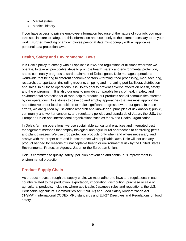- Marital status
- Medical history

If you have access to private employee information because of the nature of your job, you must take special care to safeguard this information and use it only to the extent necessary to do your work. Further, handling of any employee personal data must comply with all applicable personal data protection laws.

#### **Health, Safety and Environmental Laws**

It is Dole's policy to comply with all applicable laws and regulations at all times wherever we operate, to take all practicable steps to promote health, safety and environmental protection, and to continually progress toward attainment of Dole's goals. Dole manages operations worldwide that belong to different economic sectors – farming, food processing, manufacturing, research, transportation (including trucking, shipping and managing port facilities), distribution and sales. In all these operations, it is Dole's goal to prevent adverse effects on health, safety and the environment. It is also our goal to provide comparable levels of health, safety and environmental protection for all who help to produce our products and all communities affected by our operations. Dole strives to develop and employ approaches that are most appropriate and effective under local conditions to make significant progress toward our goals. In these efforts, we are guided by: scientific research and knowledge; principles of risk analysis; public, community and worker concerns; and regulatory policies and standards of Japan, the U.S., the European Union and international organizations such as the World Health Organization.

In Dole's farming operations, we use sustainable agricultural practices and integrated pest management methods that employ biological and agricultural approaches to controlling pests and plant diseases. We use crop protection products only when and where necessary, and always with the proper care and in accordance with applicable laws. Dole will not use any product banned for reasons of unacceptable health or environmental risk by the United States Environmental Protection Agency, Japan or the European Union.

Dole is committed to quality, safety, pollution prevention and continuous improvement in environmental protection.

#### **Product Supply Chain**

As product moves through the supply chain, we must adhere to laws and regulations in each country related to the production, exportation, importation, distribution, purchase or sale of agricultural products, including, where applicable, Japanese rules and regulations, the U.S. Perishable Agricultural Commodities Act ("PACA") and Food Safety Modernization Act ("FSMA"), international CODEX MRL standards and EU-27 Directives and Regulations on food safety.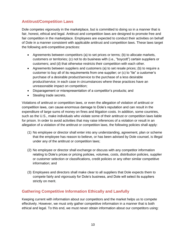# **Antitrust/Competition Laws**

Dole competes vigorously in the marketplace, but is committed to doing so in a manner that is fair, honest, ethical and legal. Antitrust and competition laws are designed to promote free and fair competition in the marketplace. Employees are expected to conduct their activities on behalf of Dole in a manner consistent with applicable antitrust and competition laws. These laws target the following anti-competitive practices:

- Agreements between competitors (a) to set prices or terms; (b) to allocate markets, customers or territories; (c) not to do business with (i.e., "boycott") certain suppliers or customers; and (d) that otherwise restricts their competition with each other.
- Agreements between suppliers and customers (a) to set resale prices; (b) to require a customer to buy all of its requirements from one supplier; or (c) to "tie" a customer's purchase of a desirable product/service to the purchase of a less desirable product/service; in each case in circumstances where these practices have an unreasonable impact on competition;
- Disparagement or misrepresentation of a competitor's products; and
- Stealing trade secrets.

Violations of antitrust or competition laws, or even the allegation of violation of antitrust or competition laws, can cause enormous damage to Dole's reputation and can result in the expenditure of large sums of money on fines and litigation costs. In addition, some countries, such as the U.S., make individuals who violate some of their antitrust or competition laws liable for prison. In order to avoid activities that may raise inferences of a violation or result in an allegation of a violation of the antitrust or competition laws, the following policies shall apply:

- (1) No employee or director shall enter into any understanding, agreement, plan or scheme that the employee has reason to believe, or has been advised by Dole counsel, is illegal under any of the antitrust or competition laws;
- (2) No employee or director shall exchange or discuss with any competitor information relating to Dole's prices or pricing policies, volumes, costs, distribution policies, supplier or customer selection or classifications, credit policies or any other similar competitive information; and
- (3) Employees and directors shall make clear to all suppliers that Dole expects them to compete fairly and vigorously for Dole's business, and Dole will select its suppliers strictly on merit.

#### **Gathering Competitive Information Ethically and Lawfully**

Keeping current with information about our competitors and the market helps us to compete effectively. However, we must only gather competitive information in a manner that is both ethical and legal. To this end, we must never obtain information about our competitors using: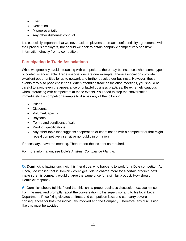- Theft
- Deception
- Misrepresentation
- Any other dishonest conduct

It is especially important that we never ask employees to breach confidentiality agreements with their previous employers, nor should we seek to obtain nonpublic competitively sensitive information directly from a competitor.

# **Participating in Trade Associations**

While we generally avoid interacting with competitors, there may be instances when some type of contact is acceptable. Trade associations are one example. These associations provide excellent opportunities for us to network and further develop our business. However, these events may also pose challenges. When attending trade association meetings, you should be careful to avoid even the appearance of unlawful business practices. Be extremely cautious when interacting with competitors at these events. You need to stop the conversation immediately if a competitor attempts to discuss any of the following:

- Prices
- Discounts
- Volume/Capacity
- Boycotts
- Terms and conditions of sale
- Product specifications
- Any other topic that suggests cooperation or coordination with a competitor or that might reveal competitively sensitive nonpublic information

If necessary, leave the meeting. Then, report the incident as required.

For more information, see Dole's *Antitrust Compliance Manual*.

**Q:** Dominick is having lunch with his friend Joe, who happens to work for a Dole competitor. At lunch, Joe implied that if Dominick could get Dole to charge more for a certain product, he'd make sure his company would charge the same price for a similar product. How should Dominick respond?

**A:** Dominick should tell his friend that this isn't a proper business discussion, excuse himself from the meal and promptly report the conversation to his supervisor and to his local Legal Department. Price fixing violates antitrust and competition laws and can carry severe consequences for both the individuals involved and the Company. Therefore, any discussion like this must be avoided.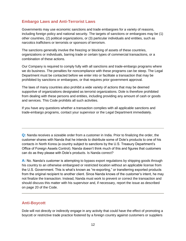#### **Embargo Laws and Anti-Terrorist Laws**

Governments may use economic sanctions and trade embargoes for a variety of reasons, including foreign policy and national security. The targets of sanctions or embargoes may be (1) other countries, (2) political organizations, or (3) particular individuals and entities, such as narcotics traffickers or terrorists or sponsors of terrorism.

The sanctions generally involve the freezing or blocking of assets of these countries, organizations or individuals, barring trade or certain types of commercial transactions, or a combination of these actions.

Our Company is required to comply fully with all sanctions and trade-embargo programs where we do business. The penalties for noncompliance with these programs can be steep. The Legal Department must be contacted before we enter into or facilitate a transaction that may be prohibited by sanctions or embargoes, or that requires prior government approval.

The laws of many countries also prohibit a wide variety of actions that may be deemed supportive of organizations designated as terrorist organizations. Dole is therefore prohibited from dealing with these persons and entities, including providing any amount of cash or goods and services. This Code prohibits all such activities.

If you have any questions whether a transaction complies with all applicable sanctions and trade-embargo programs, contact your supervisor or the Legal Department immediately.

**Q:** Nanda receives a sizeable order from a customer in India. Prior to finalizing the order, the customer shares with Nanda that he intends to distribute some of Dole's products to one of his contacts in North Korea (a country subject to sanctions by the U.S. Treasury Department's Office of Foreign Assets Control). Nanda doesn't think much of this and figures that customers can do as they please with Dole's products. Is Nanda correct?

**A:** No. Nanda's customer is attempting to bypass export regulations by shipping goods through his country to an otherwise embargoed or restricted location without an applicable license from the U.S. Government. This is what's known as "re-exporting," or transferring exported products from the original recipient to another client. Since Nanda knows of the customer's intent, he may not finalize the transaction. Instead, Nanda must work to prevent or correct the transaction and should discuss this matter with his supervisor and, if necessary, report the issue as described on page 20 of the Code.

#### **Anti-Boycott**

Dole will not directly or indirectly engage in any activity that could have the effect of promoting a boycott or restrictive trade practice fostered by a foreign country against customers or suppliers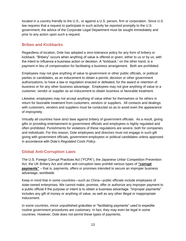located in a country friendly to the U.S., or against a U.S. person, firm or corporation. Since U.S. law requires that a request to participate in such activity be reported promptly to the U.S. government, the advice of the Corporate Legal Department must be sought immediately and prior to any action upon such a request.

#### **Bribes and Kickbacks**

Regardless of location, Dole has adopted a zero-tolerance policy for any form of bribery or kickback. "Bribery" occurs when anything of value is offered or given, either to us or by us, with the intent to influence a business action or decision. A "kickback," on the other hand, is a payment in lieu of compensation for facilitating a business arrangement. Both are prohibited.

Employees may not give anything of value to government or other public officials, or political parties or candidates, as an inducement to obtain a permit, decision or other government authorizations, to have a law or regulation enacted or defeated, for the award or retention of business or for any other business advantage. Employees may not give anything of value to a customer, vendor or supplier as an inducement to obtain business or favorable treatment.

Likewise, employees may not accept anything of value either for themselves or for others in return for favorable treatment from customers, vendors or suppliers. All contacts and dealings with customers, vendors and suppliers must be conducted so as to avoid even the *appearance* of impropriety.

Virtually all countries have strict laws against bribery of government officials. As a result, giving gifts or providing entertainment to government officials and employees is highly regulated and often prohibited. Punishments for violations of these regulations are severe, both for companies and individuals. For this reason, Dole employees and directors must not engage in such gift giving with government officials, government employees or political candidates unless approved in accordance with Dole's *Regulated Costs Policy*.

#### **Global Anti-Corruption Laws**

The U.S. Foreign Corrupt Practices Act ("FCPA"), the Japanese Unfair Competition Prevention Act, the UK Bribery Act and other anti-corruption laws prohibit various types of **"corrupt payments"** – that is, payments, offers or promises intended to secure an improper business advantage, worldwide.

Keep in mind that in some countries—such as China—public officials include employees of state-owned enterprises. We cannot make, promise, offer or authorize any improper payment to a public official if the purpose or intent is to obtain a business advantage. "Improper payments" includes any gift of money or anything of value, as well as any other illegal or inappropriate inducement.

In some countries, minor unpublished gratuities or "facilitating payments" used to expedite routine government procedures are customary. In fact, they may even be legal in some countries. However, Dole does not permit these types of payments.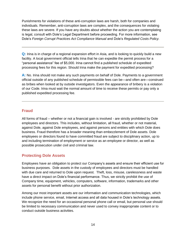Punishments for violations of these anti-corruption laws are harsh, both for companies and individuals. Remember, anti-corruption laws are complex, and the consequences for violating these laws are severe. If you have any doubts about whether the action you are contemplating is legal, consult with Dole's Legal Department before proceeding. For more information, see Dole's *Foreign Corrupt Practices Act Compliance Manual* and Dole's *Regulated Costs Policy.*

**Q:** Irina is in charge of a regional expansion effort in Asia, and is looking to quickly build a new facility. A local government official tells Irina that he can expedite the permit process for a "personal assistance" fee of \$5,000. Irina cannot find a published schedule of expedited processing fees for this region. Should Irina make the payment for expedited processing?

**A:** No. Irina should not make any such payments on behalf of Dole. Payments to a government official outside of any published schedule of permissible fees can be—and often are—construed as bribes when looked at by outside investigators. Even the appearance of bribery is a violation of our Code. Irina must wait the normal amount of time to receive these permits or pay only a published expedited processing fee.

#### **Fraud**

All forms of fraud – whether or not a financial gain is involved - are strictly prohibited by Dole employees and directors. This includes, without limitation, all fraud, whether or not material, against Dole, against Dole employees, and against persons and entities with which Dole does business. Fraud therefore has a broader meaning than embezzlement of Dole assets. Dole employees or directors found to have committed fraud are subject to disciplinary action, up to and including termination of employment or service as an employee or director, as well as possible prosecution under civil and criminal law.

#### **Protecting Dole Assets**

Employees have an obligation to protect our Company's assets and ensure their efficient use for business purposes. Dole assets in the custody of employees and directors must be handled with due care and returned to Dole upon request. Theft, loss, misuse, carelessness and waste have a direct impact on Dole's financial performance. Thus, we strictly prohibit the use of Company time, equipment, vehicles, computers, software, information, trademarks and other assets for personal benefit without prior authorization.

Among our most important assets are our information and communication technologies, which include phone service, email, Internet access and all data housed in Dole's technology assets. We recognize the need for an occasional personal phone call or email, but personal use should be limited to necessary communication and never used to convey inappropriate content or to conduct outside business activities.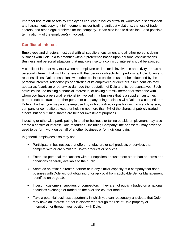Improper use of our assets by employees can lead to issues of **fraud**, workplace discrimination and harassment, copyright infringement, insider trading, antitrust violations, the loss of trade secrets, and other legal problems for the company. It can also lead to discipline – and possible termination – of the employee(s) involved.

#### **Conflict of Interest**

Employees and directors must deal with all suppliers, customers and all other persons doing business with Dole in a fair manner without preference based upon personal considerations. Business and personal situations that may give rise to a conflict of interest should be avoided.

A conflict of interest may exist when an employee or director is involved in an activity, or has a personal interest, that might interfere with that person's objectivity in performing Dole duties and responsibilities. Dole transactions with other business entities must not be influenced by the personal interests, relationships or activities of its employees or directors. Such conflicts may appear as favoritism or otherwise damage the reputation of Dole and its representatives. Such activities include holding a financial interest in, or having a family member or someone with whom you have a personal relationship involved in, a business that is a supplier, customer, partner, sub-contractor or other person or company doing business with Dole, or a competitor of Dole's. Further, you may not be employed by or hold a director position with any such person, company or competitor; except for holding not more than 5% of the shares of publicly traded stocks, but only if such shares are held for investment purposes.

Investing or otherwise participating in another business or taking outside employment may also create a conflict of interest. Dole resources - including Company time or assets - may never be used to perform work on behalf of another business or for individual gain.

In general, employees also may not:

- Participate in businesses that offer, manufacture or sell products or services that compete with or are similar to Dole's products or services.
- Enter into personal transactions with our suppliers or customers other than on terms and conditions generally available to the public.
- Serve as an officer, director, partner or in any similar capacity of a company that does business with Dole without obtaining prior approval from applicable Senior Management identified on page 19.
- Invest in customers, suppliers or competitors if they are not publicly traded on a national securities exchange or traded on the over-the-counter market.
- Take a potential business opportunity in which you can reasonably anticipate that Dole may have an interest, or that is discovered through the use of Dole property or information or through your position with Dole.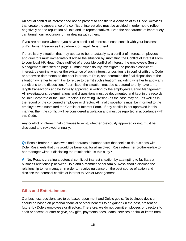An actual conflict of interest need not be present to constitute a violation of this Code. Activities that create the appearance of a conflict of interest also must be avoided in order not to reflect negatively on the reputation of Dole and its representatives. Even the appearance of impropriety can tarnish our reputation for fair dealing with others.

If you are not sure whether you have a conflict of interest, please consult with your business unit's Human Resources Department or Legal Department.

If there is any situation that may appear to be, or actually is, a conflict of interest, employees and directors must immediately disclose the situation by submitting the Conflict of Interest Form to your local HR Head. Once notified of a possible conflict of interest, the employee's Senior Management identified on page 19 must expeditiously investigate the possible conflict of interest, determine whether the existence of such interest or position is in conflict with this Code or otherwise detrimental to the best interests of Dole, and determine the final disposition of the situation (whether to permit or to refuse to permit such situation), including whether to apply any conditions to the disposition. If permitted, the situation must be structured to only have armslength transactions and be formally approved in writing by the employee's Senior Management. All investigations, determinations and dispositions must be documented and kept in the records of Dole Corporate or the Dole Principal Operating Division (as the case may be), as well as in the record of the concerned employee or director. All final dispositions must be informed to the employee who submitted the Conflict of Interest Form. If any conflict is not approved in this manner, then the conflict will be considered a violation and must be reported in accordance with this Code.

Any conflict of interest that continues to exist, whether previously approved or not, must be disclosed and reviewed annually.

**Q:** Rosa's brother-in-law owns and operates a banana farm that seeks to do business with Dole. Rosa feels that this would be beneficial for all involved. Rosa refers her brother-in-law to her manager without disclosing the relationship. Is this okay?

**A:** No. Rosa is creating a potential conflict of interest situation by attempting to facilitate a business relationship between Dole and a member of her family. Rosa should disclose the relationship to her manager in order to receive guidance on the best course of action and disclose the potential conflict of interest to Senior Management.

#### **Gifts and Entertainment**

Our business decisions are to be based upon merit and Dole's goals. No business decision should be based on personal financial or other benefits to be gained (in the past, present or future) by Dole's employees or directors. Therefore, we do not permit employees or directors to seek or accept, or offer or give, any gifts, payments, fees, loans, services or similar items from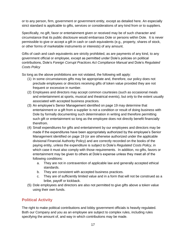or to any person, firm, government or government entity, except as detailed here. An especially strict standard is applicable to gifts, services or considerations of any kind from or to suppliers.

Specifically, no gift, favor or entertainment given or received may be of such character and circumstance that its public disclosure would embarrass Dole or persons within Dole. It is never permissible to give or accept a gift in cash or cash equivalents (e.g., property, shares of stock, or other forms of marketable instruments or interests) of any amount.

Gifts of cash and cash equivalents are strictly prohibited, as are payments of any kind, to any government official or employee, except as permitted under Dole's policies on political contributions, Dole's *Foreign Corrupt Practices Act Compliance Manual* and Dole's *Regulated Costs Policy*

So long as the above prohibitions are not violated, the following will apply:

- (1) In some circumstances gifts may be appropriate and, therefore, our policy does not preclude employees or directors receiving gifts of token value provided they are not frequent or excessive in number.
- (2) Employees and directors may accept common courtesies (such as occasional meals and entertainment at sports, musical and theatrical events), but only to the extent usually associated with accepted business practices.
- (3) An employee's Senior Management identified on page 19 may determine that entertainment or a gift from a supplier is not a condition or result of doing business with Dole by formally documenting such determination in writing and therefore permitting such gift or entertainment so long as the employee does not directly benefit financially therefrom.
- (4) Small expenditures for gifts and entertainment by our employees and directors may be made if the expenditures have been appropriately authorized by the employee's Senior Management identified on page 19 (or are otherwise authorized under the applicable divisional Financial Authority Policy) and are correctly recorded on the books of the paying entity, unless the expenditure is subject to Dole's *Regulated Costs Policy*, in which case it must also comply with those requirements. In addition, no gifts, favors or entertainment may be given to others at Dole's expense unless they meet all of the following conditions:
	- a. They are not in contravention of applicable law and generally accepted ethical standards.
	- b. They are consistent with accepted business practices.
	- c. They are of sufficiently limited value and in a form that will not be construed as a bribe, payoff or kickback.
- (5) Dole employees and directors are also not permitted to give gifts above a token value using their own funds.

### **Political Activity**

The right to make political contributions and lobby government officials is heavily regulated. Both our Company and you as an employee are subject to complex rules, including rules specifying the amount of, and way in which contributions may be made.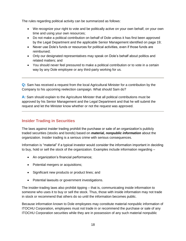The rules regarding political activity can be summarized as follows:

- We recognize your right to vote and be politically active on your own behalf, on your own time and using your own resources;
- Do not make a political contribution on behalf of Dole unless it has first been approved by the Legal Department and the applicable Senior Management identified on page 19;
- Never use Dole's funds or resources for political activities, even if those funds are reimbursed;
- Only our designated representatives may speak on Dole's behalf about politics and related matters; and
- You should never feel pressured to make a political contribution or to vote in a certain way by any Dole employee or any third-party working for us.

**Q:** Sam has received a request from the local Agricultural Minister for a contribution by the Company to his upcoming reelection campaign. What should Sam do?

**A:** Sam should explain to the Agriculture Minister that all political contributions must be approved by his Senior Management and the Legal Department and that he will submit the request and let the Minister know whether or not the request was approved.

#### **Insider Trading in Securities**

The laws against insider trading prohibit the purchase or sale of an organization's publicly traded securities (stocks and bonds) based on *material, nonpublic information* about the organization. Insider trading is a serious crime with serious consequences.

Information is "material" if a typical investor would consider the information important in deciding to buy, hold or sell the stock of the organization. Examples include information regarding –

- An organization's financial performance;
- Potential mergers or acquisitions;
- Significant new products or product lines; and
- Potential lawsuits or government investigations.

The insider-trading laws also prohibit tipping – that is, communicating inside information to someone who uses it to buy or sell the stock. Thus, those with inside information may not trade in stock or recommend that others do so until the information becomes public.

Because information known to Dole employees may constitute material nonpublic information of ITOCHU Corporation, employees must not trade in or recommend the purchase or sale of any ITOCHU Corporation securities while they are in possession of any such material nonpublic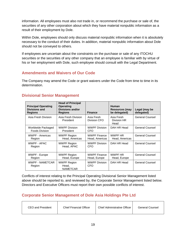information. All employees must also not trade in, or recommend the purchase or sale of, the securities of any other corporation about which they have material nonpublic information as a result of their employment by Dole.

Within Dole, employees should only discuss material nonpublic information when it is absolutely necessary to the conduct of their duties. In addition, material nonpublic information about Dole should not be conveyed to others.

If employees are uncertain about the constraints on the purchase or sale of any ITOCHU securities or the securities of any other company that an employee is familiar with by virtue of his or her employment with Dole, such employee should consult with the Legal Department.

#### **Amendments and Waivers of Our Code**

The Company may amend the Code or grant waivers under the Code from time to time in its determination.

#### **Principal Operating Divisions and Regions Head of Principal Operating Divisions and/or Regions Finance Human Resources (may be delegated) Legal (may be delegated)** Asia Fresh Division | Asia Fresh Division President Asia Fresh Division CFO Asia Fresh Division HR Head General Counsel Worldwide Packaged Foods Division WWPF Division President WWPF Division CFO DAH HR Head | General Counsel WWPF - Americas Region WWPF Region Head, Americas WWPF Finance Head, Americas WWPF HR Head, Americas General Counsel WWPF - APAC Region WWPF Region Head, APAC WWPF Division CFO DAH HR Head General Counsel WWPF - Europe Region WWPF Region Head, Europe WWPF Finance Head, Europe WWPF HR Head, Europe General Counsel WWPF - NAMETCAR Region WWPF Region Head, NAMETCAR WWPF Division CFO DAH HR Head | General Counsel

# **Divisional Senior Management**

Conflicts of interest relating to the Principal Operating Divisional Senior Management listed above should be reported to, and reviewed by, the Corporate Senior Management listed below. Directors and Executive Officers must report their own possible conflicts of interest.

# **Corporate Senior Management of Dole Asia Holdings Pte Ltd**

| CEO and President | <b>Chief Financial Officer</b> | <b>Chief Administrative Officer</b> | <b>General Counsel</b> |
|-------------------|--------------------------------|-------------------------------------|------------------------|
|-------------------|--------------------------------|-------------------------------------|------------------------|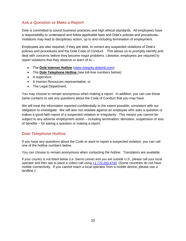#### **Ask a Question or Make a Report**

Dole is committed to sound business practices and high ethical standards. All employees have a responsibility to understand and follow applicable laws and Dole's policies and procedures. Violations may lead to disciplinary action, up to and including termination of employment.

Employees are also required, if they are able, to correct any suspected violations of Dole's policies and procedures and the Dole Code of Conduct. This allows us to promptly identify and deal with concerns before they become major problems. Likewise, employees are required to report violations that they observe or learn of to –

- The **Dole Internet Hotline** [\(www.integrity.doleintl.com\)](http://www.integrity.doleintl.com/);
- The **Dole Telephone Hotline** (see toll-free numbers below);
- A supervisor;
- A Human Resources representative; or
- The Legal Department.

You may choose to remain anonymous when making a report. In addition, you can use these same contacts to ask any questions about the Code of Conduct that you may have.

We will treat the information reported confidentially to the extent possible, consistent with our obligation to investigate. We will also not retaliate against an employee who asks a question or makes a good-faith report of a suspected violation or irregularity. This means you cannot be subject to any adverse employment action – including termination, demotion, suspension or loss of benefits – for asking a question or making a report.

#### **Dole Telephone Hotline**

If you have any questions about the Code or want to report a suspected violation, you can call one of the hotline numbers below.

You can choose to remain anonymous when contacting the hotline. Translators are available.

If your country is not listed below (i.e. Sierra Leone) and you are outside U.S., please call your local operator and then ask to place a collect call using [+1.770.263.4745](tel:1-770-263-4745). (Some countries do not have mobile connectivity. If you cannot reach a local operator from a mobile device, please use a landline.)